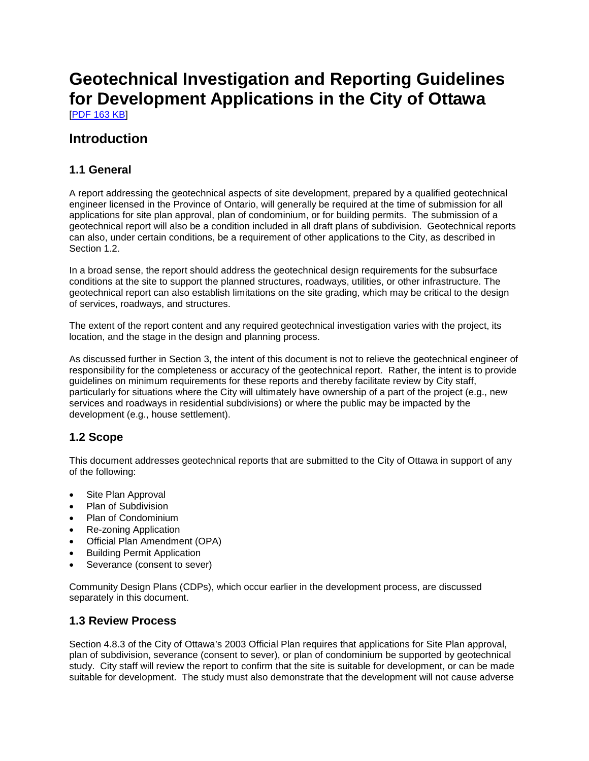# **Geotechnical Investigation and Reporting Guidelines for Development Applications in the City of Ottawa**

[PDF 163 KB]

## **Introduction**

### **1.1 General**

A report addressing the geotechnical aspects of site development, prepared by a qualified geotechnical engineer licensed in the Province of Ontario, will generally be required at the time of submission for all applications for site plan approval, plan of condominium, or for building permits. The submission of a geotechnical report will also be a condition included in all draft plans of subdivision. Geotechnical reports can also, under certain conditions, be a requirement of other applications to the City, as described in Section 1.2.

In a broad sense, the report should address the geotechnical design requirements for the subsurface conditions at the site to support the planned structures, roadways, utilities, or other infrastructure. The geotechnical report can also establish limitations on the site grading, which may be critical to the design of services, roadways, and structures.

The extent of the report content and any required geotechnical investigation varies with the project, its location, and the stage in the design and planning process.

As discussed further in Section 3, the intent of this document is not to relieve the geotechnical engineer of responsibility for the completeness or accuracy of the geotechnical report. Rather, the intent is to provide guidelines on minimum requirements for these reports and thereby facilitate review by City staff, particularly for situations where the City will ultimately have ownership of a part of the project (e.g., new services and roadways in residential subdivisions) or where the public may be impacted by the development (e.g., house settlement).

### **1.2 Scope**

This document addresses geotechnical reports that are submitted to the City of Ottawa in support of any of the following:

- Site Plan Approval
- Plan of Subdivision
- Plan of Condominium
- Re-zoning Application
- Official Plan Amendment (OPA)
- Building Permit Application
- Severance (consent to sever)

Community Design Plans (CDPs), which occur earlier in the development process, are discussed separately in this document.

### **1.3 Review Process**

Section 4.8.3 of the City of Ottawa's 2003 Official Plan requires that applications for Site Plan approval, plan of subdivision, severance (consent to sever), or plan of condominium be supported by geotechnical study. City staff will review the report to confirm that the site is suitable for development, or can be made suitable for development. The study must also demonstrate that the development will not cause adverse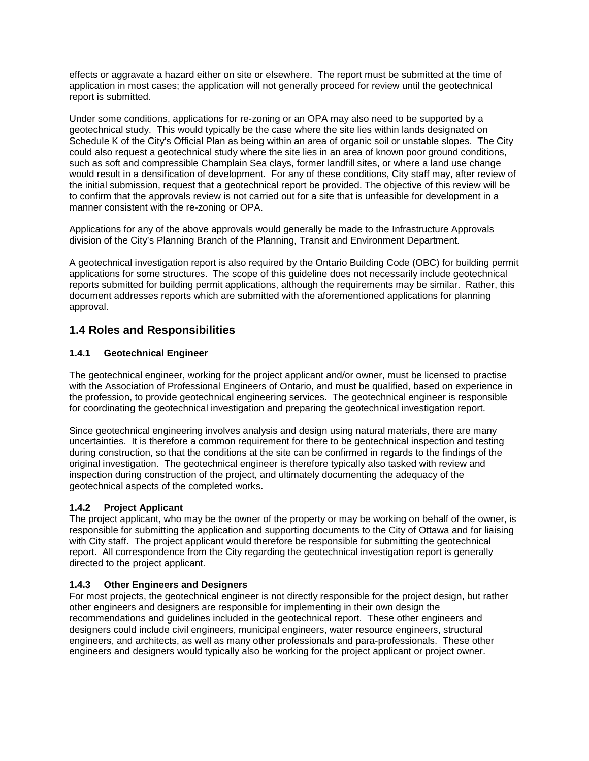effects or aggravate a hazard either on site or elsewhere. The report must be submitted at the time of application in most cases; the application will not generally proceed for review until the geotechnical report is submitted.

Under some conditions, applications for re-zoning or an OPA may also need to be supported by a geotechnical study. This would typically be the case where the site lies within lands designated on Schedule K of the City's Official Plan as being within an area of organic soil or unstable slopes. The City could also request a geotechnical study where the site lies in an area of known poor ground conditions, such as soft and compressible Champlain Sea clays, former landfill sites, or where a land use change would result in a densification of development. For any of these conditions, City staff may, after review of the initial submission, request that a geotechnical report be provided. The objective of this review will be to confirm that the approvals review is not carried out for a site that is unfeasible for development in a manner consistent with the re-zoning or OPA.

Applications for any of the above approvals would generally be made to the Infrastructure Approvals division of the City's Planning Branch of the Planning, Transit and Environment Department.

A geotechnical investigation report is also required by the Ontario Building Code (OBC) for building permit applications for some structures. The scope of this guideline does not necessarily include geotechnical reports submitted for building permit applications, although the requirements may be similar. Rather, this document addresses reports which are submitted with the aforementioned applications for planning approval.

### **1.4 Roles and Responsibilities**

### **1.4.1 Geotechnical Engineer**

The geotechnical engineer, working for the project applicant and/or owner, must be licensed to practise with the Association of Professional Engineers of Ontario, and must be qualified, based on experience in the profession, to provide geotechnical engineering services. The geotechnical engineer is responsible for coordinating the geotechnical investigation and preparing the geotechnical investigation report.

Since geotechnical engineering involves analysis and design using natural materials, there are many uncertainties. It is therefore a common requirement for there to be geotechnical inspection and testing during construction, so that the conditions at the site can be confirmed in regards to the findings of the original investigation. The geotechnical engineer is therefore typically also tasked with review and inspection during construction of the project, and ultimately documenting the adequacy of the geotechnical aspects of the completed works.

### **1.4.2 Project Applicant**

The project applicant, who may be the owner of the property or may be working on behalf of the owner, is responsible for submitting the application and supporting documents to the City of Ottawa and for liaising with City staff. The project applicant would therefore be responsible for submitting the geotechnical report. All correspondence from the City regarding the geotechnical investigation report is generally directed to the project applicant.

### **1.4.3 Other Engineers and Designers**

For most projects, the geotechnical engineer is not directly responsible for the project design, but rather other engineers and designers are responsible for implementing in their own design the recommendations and guidelines included in the geotechnical report. These other engineers and designers could include civil engineers, municipal engineers, water resource engineers, structural engineers, and architects, as well as many other professionals and para-professionals. These other engineers and designers would typically also be working for the project applicant or project owner.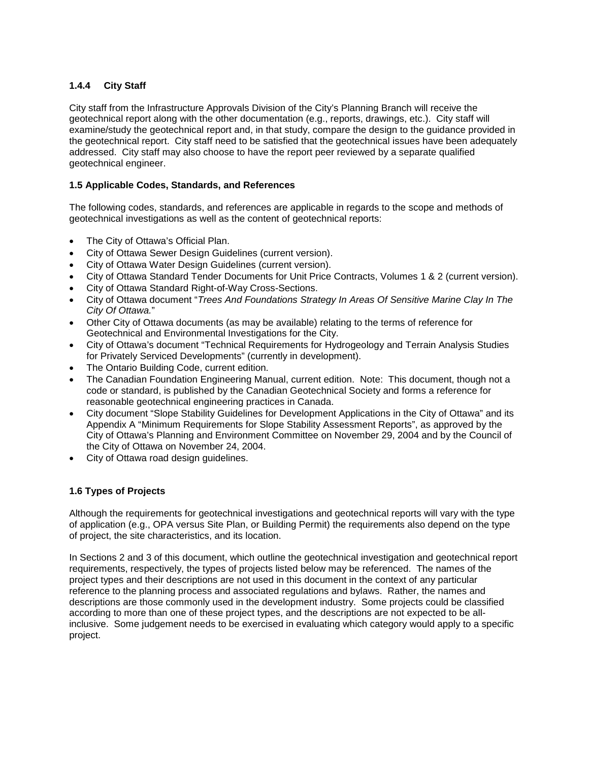### **1.4.4 City Staff**

City staff from the Infrastructure Approvals Division of the City's Planning Branch will receive the geotechnical report along with the other documentation (e.g., reports, drawings, etc.). City staff will examine/study the geotechnical report and, in that study, compare the design to the guidance provided in the geotechnical report. City staff need to be satisfied that the geotechnical issues have been adequately addressed. City staff may also choose to have the report peer reviewed by a separate qualified geotechnical engineer.

### **1.5 Applicable Codes, Standards, and References**

The following codes, standards, and references are applicable in regards to the scope and methods of geotechnical investigations as well as the content of geotechnical reports:

- The City of Ottawa's Official Plan.
- City of Ottawa Sewer Design Guidelines (current version).
- City of Ottawa Water Design Guidelines (current version).
- City of Ottawa Standard Tender Documents for Unit Price Contracts, Volumes 1 & 2 (current version).
- City of Ottawa Standard Right-of-Way Cross-Sections.
- City of Ottawa document "*Trees And Foundations Strategy In Areas Of Sensitive Marine Clay In The City Of Ottawa.*"
- Other City of Ottawa documents (as may be available) relating to the terms of reference for Geotechnical and Environmental Investigations for the City.
- City of Ottawa's document "Technical Requirements for Hydrogeology and Terrain Analysis Studies for Privately Serviced Developments" (currently in development).
- The Ontario Building Code, current edition.
- The Canadian Foundation Engineering Manual, current edition. Note: This document, though not a code or standard, is published by the Canadian Geotechnical Society and forms a reference for reasonable geotechnical engineering practices in Canada.
- City document "Slope Stability Guidelines for Development Applications in the City of Ottawa" and its Appendix A "Minimum Requirements for Slope Stability Assessment Reports", as approved by the City of Ottawa's Planning and Environment Committee on November 29, 2004 and by the Council of the City of Ottawa on November 24, 2004.
- City of Ottawa road design guidelines.

### **1.6 Types of Projects**

Although the requirements for geotechnical investigations and geotechnical reports will vary with the type of application (e.g., OPA versus Site Plan, or Building Permit) the requirements also depend on the type of project, the site characteristics, and its location.

In Sections 2 and 3 of this document, which outline the geotechnical investigation and geotechnical report requirements, respectively, the types of projects listed below may be referenced. The names of the project types and their descriptions are not used in this document in the context of any particular reference to the planning process and associated regulations and bylaws. Rather, the names and descriptions are those commonly used in the development industry. Some projects could be classified according to more than one of these project types, and the descriptions are not expected to be allinclusive. Some judgement needs to be exercised in evaluating which category would apply to a specific project.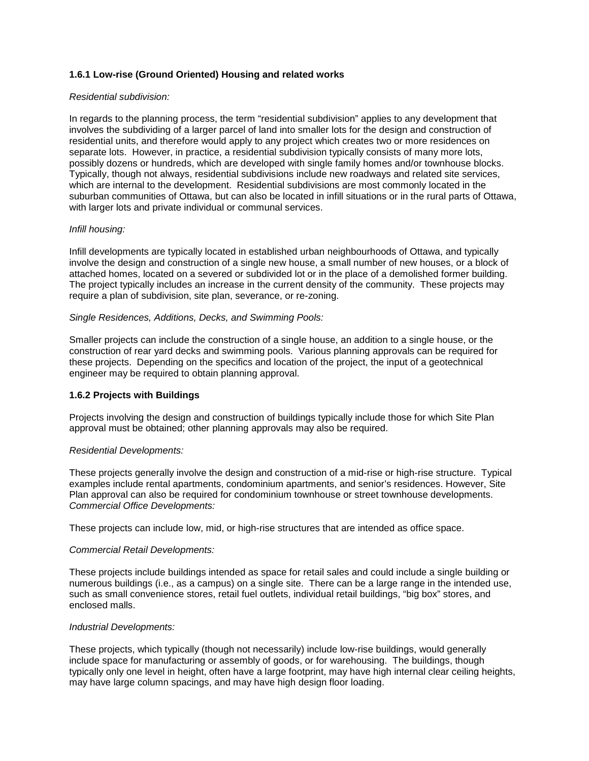### **1.6.1 Low-rise (Ground Oriented) Housing and related works**

#### *Residential subdivision:*

In regards to the planning process, the term "residential subdivision" applies to any development that involves the subdividing of a larger parcel of land into smaller lots for the design and construction of residential units, and therefore would apply to any project which creates two or more residences on separate lots. However, in practice, a residential subdivision typically consists of many more lots, possibly dozens or hundreds, which are developed with single family homes and/or townhouse blocks. Typically, though not always, residential subdivisions include new roadways and related site services, which are internal to the development. Residential subdivisions are most commonly located in the suburban communities of Ottawa, but can also be located in infill situations or in the rural parts of Ottawa, with larger lots and private individual or communal services.

#### *Infill housing:*

Infill developments are typically located in established urban neighbourhoods of Ottawa, and typically involve the design and construction of a single new house, a small number of new houses, or a block of attached homes, located on a severed or subdivided lot or in the place of a demolished former building. The project typically includes an increase in the current density of the community. These projects may require a plan of subdivision, site plan, severance, or re-zoning.

#### *Single Residences, Additions, Decks, and Swimming Pools:*

Smaller projects can include the construction of a single house, an addition to a single house, or the construction of rear yard decks and swimming pools. Various planning approvals can be required for these projects. Depending on the specifics and location of the project, the input of a geotechnical engineer may be required to obtain planning approval.

#### **1.6.2 Projects with Buildings**

Projects involving the design and construction of buildings typically include those for which Site Plan approval must be obtained; other planning approvals may also be required.

#### *Residential Developments:*

These projects generally involve the design and construction of a mid-rise or high-rise structure. Typical examples include rental apartments, condominium apartments, and senior's residences. However, Site Plan approval can also be required for condominium townhouse or street townhouse developments. *Commercial Office Developments:* 

These projects can include low, mid, or high-rise structures that are intended as office space.

#### *Commercial Retail Developments:*

These projects include buildings intended as space for retail sales and could include a single building or numerous buildings (i.e., as a campus) on a single site. There can be a large range in the intended use, such as small convenience stores, retail fuel outlets, individual retail buildings, "big box" stores, and enclosed malls.

#### *Industrial Developments:*

These projects, which typically (though not necessarily) include low-rise buildings, would generally include space for manufacturing or assembly of goods, or for warehousing. The buildings, though typically only one level in height, often have a large footprint, may have high internal clear ceiling heights, may have large column spacings, and may have high design floor loading.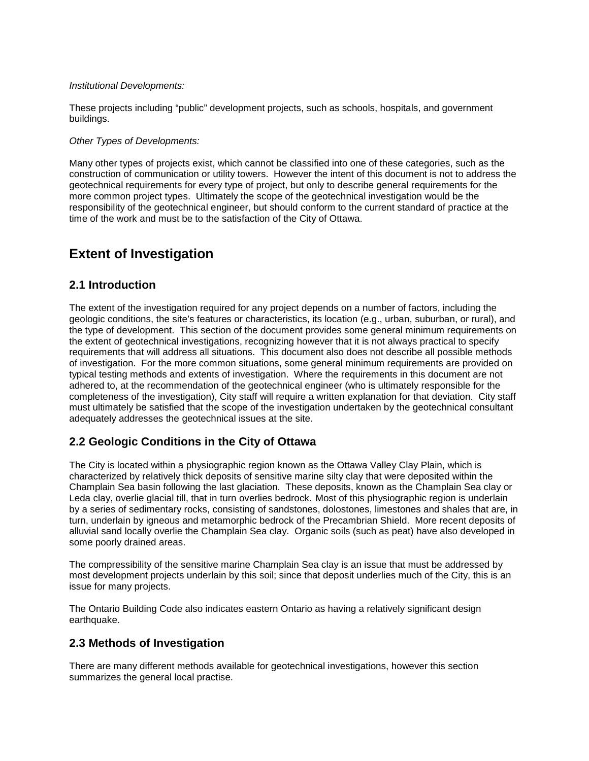#### *Institutional Developments:*

These projects including "public" development projects, such as schools, hospitals, and government buildings.

### *Other Types of Developments:*

Many other types of projects exist, which cannot be classified into one of these categories, such as the construction of communication or utility towers. However the intent of this document is not to address the geotechnical requirements for every type of project, but only to describe general requirements for the more common project types. Ultimately the scope of the geotechnical investigation would be the responsibility of the geotechnical engineer, but should conform to the current standard of practice at the time of the work and must be to the satisfaction of the City of Ottawa.

# **Extent of Investigation**

### **2.1 Introduction**

The extent of the investigation required for any project depends on a number of factors, including the geologic conditions, the site's features or characteristics, its location (e.g., urban, suburban, or rural), and the type of development. This section of the document provides some general minimum requirements on the extent of geotechnical investigations, recognizing however that it is not always practical to specify requirements that will address all situations. This document also does not describe all possible methods of investigation. For the more common situations, some general minimum requirements are provided on typical testing methods and extents of investigation. Where the requirements in this document are not adhered to, at the recommendation of the geotechnical engineer (who is ultimately responsible for the completeness of the investigation), City staff will require a written explanation for that deviation. City staff must ultimately be satisfied that the scope of the investigation undertaken by the geotechnical consultant adequately addresses the geotechnical issues at the site.

### **2.2 Geologic Conditions in the City of Ottawa**

The City is located within a physiographic region known as the Ottawa Valley Clay Plain, which is characterized by relatively thick deposits of sensitive marine silty clay that were deposited within the Champlain Sea basin following the last glaciation. These deposits, known as the Champlain Sea clay or Leda clay, overlie glacial till, that in turn overlies bedrock. Most of this physiographic region is underlain by a series of sedimentary rocks, consisting of sandstones, dolostones, limestones and shales that are, in turn, underlain by igneous and metamorphic bedrock of the Precambrian Shield. More recent deposits of alluvial sand locally overlie the Champlain Sea clay. Organic soils (such as peat) have also developed in some poorly drained areas.

The compressibility of the sensitive marine Champlain Sea clay is an issue that must be addressed by most development projects underlain by this soil; since that deposit underlies much of the City, this is an issue for many projects.

The Ontario Building Code also indicates eastern Ontario as having a relatively significant design earthquake.

### **2.3 Methods of Investigation**

There are many different methods available for geotechnical investigations, however this section summarizes the general local practise.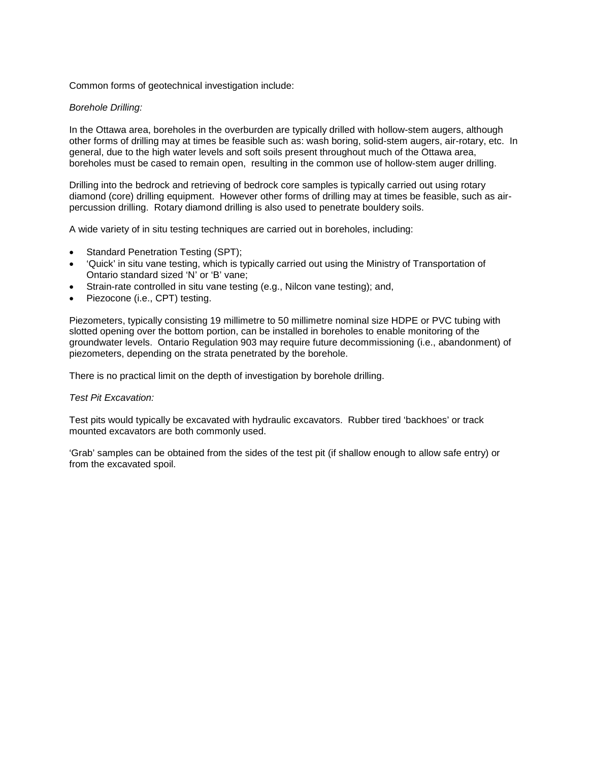Common forms of geotechnical investigation include:

#### *Borehole Drilling:*

In the Ottawa area, boreholes in the overburden are typically drilled with hollow-stem augers, although other forms of drilling may at times be feasible such as: wash boring, solid-stem augers, air-rotary, etc. In general, due to the high water levels and soft soils present throughout much of the Ottawa area, boreholes must be cased to remain open, resulting in the common use of hollow-stem auger drilling.

Drilling into the bedrock and retrieving of bedrock core samples is typically carried out using rotary diamond (core) drilling equipment. However other forms of drilling may at times be feasible, such as airpercussion drilling. Rotary diamond drilling is also used to penetrate bouldery soils.

A wide variety of in situ testing techniques are carried out in boreholes, including:

- Standard Penetration Testing (SPT);
- 'Quick' in situ vane testing, which is typically carried out using the Ministry of Transportation of Ontario standard sized 'N' or 'B' vane;
- Strain-rate controlled in situ vane testing (e.g., Nilcon vane testing); and,
- Piezocone (i.e., CPT) testing.

Piezometers, typically consisting 19 millimetre to 50 millimetre nominal size HDPE or PVC tubing with slotted opening over the bottom portion, can be installed in boreholes to enable monitoring of the groundwater levels. Ontario Regulation 903 may require future decommissioning (i.e., abandonment) of piezometers, depending on the strata penetrated by the borehole.

There is no practical limit on the depth of investigation by borehole drilling.

#### *Test Pit Excavation:*

Test pits would typically be excavated with hydraulic excavators. Rubber tired 'backhoes' or track mounted excavators are both commonly used.

'Grab' samples can be obtained from the sides of the test pit (if shallow enough to allow safe entry) or from the excavated spoil.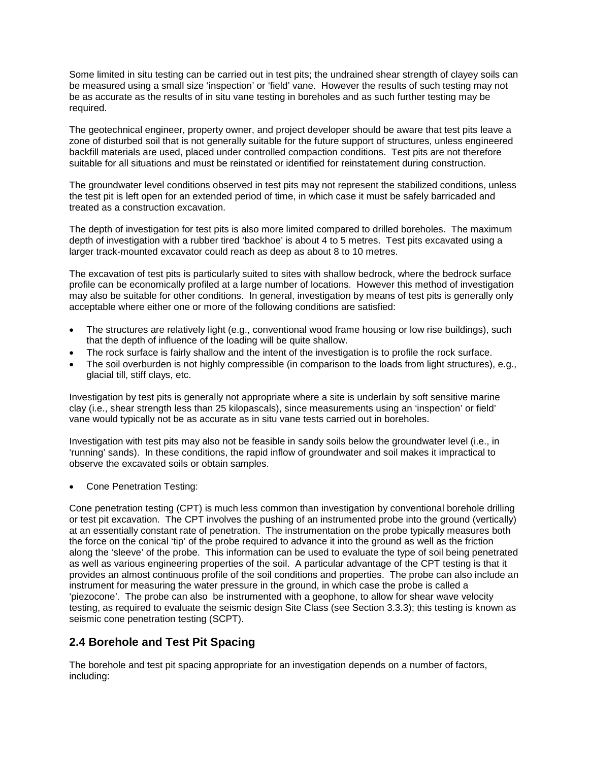Some limited in situ testing can be carried out in test pits; the undrained shear strength of clayey soils can be measured using a small size 'inspection' or 'field' vane. However the results of such testing may not be as accurate as the results of in situ vane testing in boreholes and as such further testing may be required.

The geotechnical engineer, property owner, and project developer should be aware that test pits leave a zone of disturbed soil that is not generally suitable for the future support of structures, unless engineered backfill materials are used, placed under controlled compaction conditions. Test pits are not therefore suitable for all situations and must be reinstated or identified for reinstatement during construction.

The groundwater level conditions observed in test pits may not represent the stabilized conditions, unless the test pit is left open for an extended period of time, in which case it must be safely barricaded and treated as a construction excavation.

The depth of investigation for test pits is also more limited compared to drilled boreholes. The maximum depth of investigation with a rubber tired 'backhoe' is about 4 to 5 metres. Test pits excavated using a larger track-mounted excavator could reach as deep as about 8 to 10 metres.

The excavation of test pits is particularly suited to sites with shallow bedrock, where the bedrock surface profile can be economically profiled at a large number of locations. However this method of investigation may also be suitable for other conditions. In general, investigation by means of test pits is generally only acceptable where either one or more of the following conditions are satisfied:

- The structures are relatively light (e.g., conventional wood frame housing or low rise buildings), such that the depth of influence of the loading will be quite shallow.
- The rock surface is fairly shallow and the intent of the investigation is to profile the rock surface.
- The soil overburden is not highly compressible (in comparison to the loads from light structures), e.g., glacial till, stiff clays, etc.

Investigation by test pits is generally not appropriate where a site is underlain by soft sensitive marine clay (i.e., shear strength less than 25 kilopascals), since measurements using an 'inspection' or field' vane would typically not be as accurate as in situ vane tests carried out in boreholes.

Investigation with test pits may also not be feasible in sandy soils below the groundwater level (i.e., in 'running' sands). In these conditions, the rapid inflow of groundwater and soil makes it impractical to observe the excavated soils or obtain samples.

• Cone Penetration Testing:

Cone penetration testing (CPT) is much less common than investigation by conventional borehole drilling or test pit excavation. The CPT involves the pushing of an instrumented probe into the ground (vertically) at an essentially constant rate of penetration. The instrumentation on the probe typically measures both the force on the conical 'tip' of the probe required to advance it into the ground as well as the friction along the 'sleeve' of the probe. This information can be used to evaluate the type of soil being penetrated as well as various engineering properties of the soil. A particular advantage of the CPT testing is that it provides an almost continuous profile of the soil conditions and properties. The probe can also include an instrument for measuring the water pressure in the ground, in which case the probe is called a 'piezocone'. The probe can also be instrumented with a geophone, to allow for shear wave velocity testing, as required to evaluate the seismic design Site Class (see Section 3.3.3); this testing is known as seismic cone penetration testing (SCPT).

### **2.4 Borehole and Test Pit Spacing**

The borehole and test pit spacing appropriate for an investigation depends on a number of factors, including: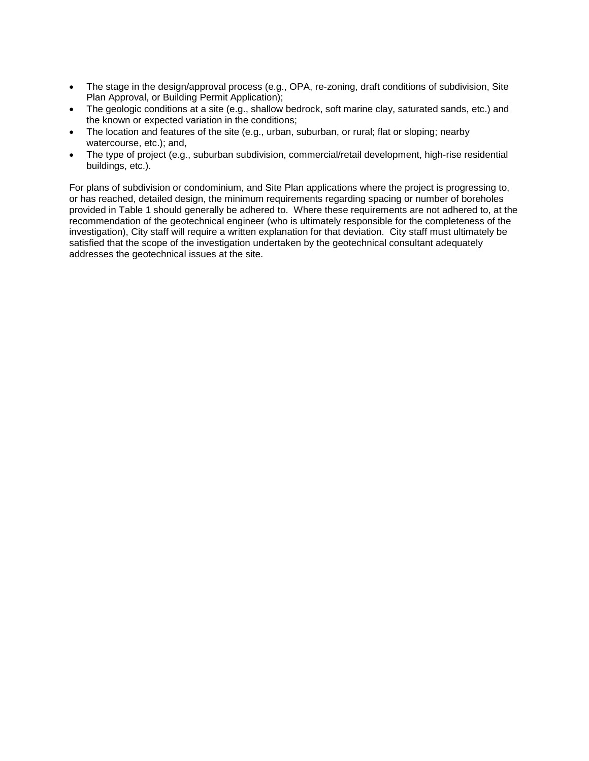- The stage in the design/approval process (e.g., OPA, re-zoning, draft conditions of subdivision, Site Plan Approval, or Building Permit Application);
- The geologic conditions at a site (e.g., shallow bedrock, soft marine clay, saturated sands, etc.) and the known or expected variation in the conditions;
- The location and features of the site (e.g., urban, suburban, or rural; flat or sloping; nearby watercourse, etc.); and,
- The type of project (e.g., suburban subdivision, commercial/retail development, high-rise residential buildings, etc.).

For plans of subdivision or condominium, and Site Plan applications where the project is progressing to, or has reached, detailed design, the minimum requirements regarding spacing or number of boreholes provided in Table 1 should generally be adhered to. Where these requirements are not adhered to, at the recommendation of the geotechnical engineer (who is ultimately responsible for the completeness of the investigation), City staff will require a written explanation for that deviation. City staff must ultimately be satisfied that the scope of the investigation undertaken by the geotechnical consultant adequately addresses the geotechnical issues at the site.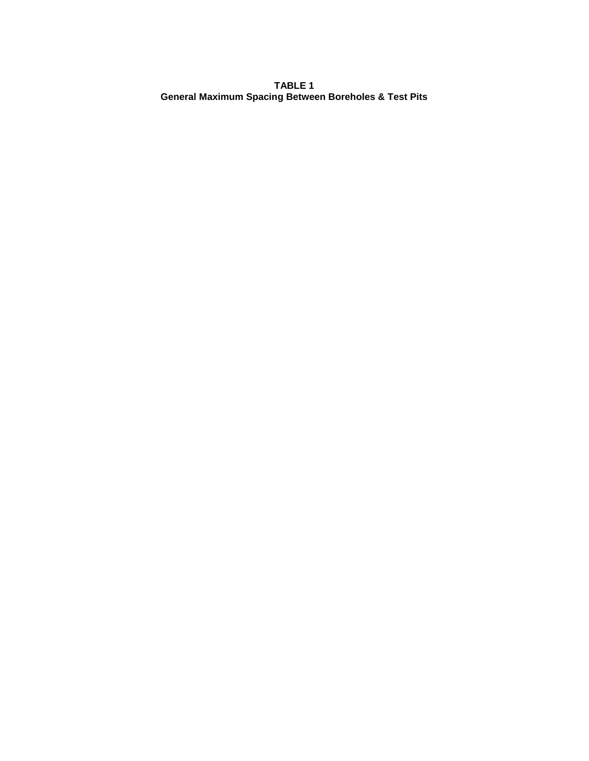**TABLE 1 General Maximum Spacing Between Boreholes & Test Pits**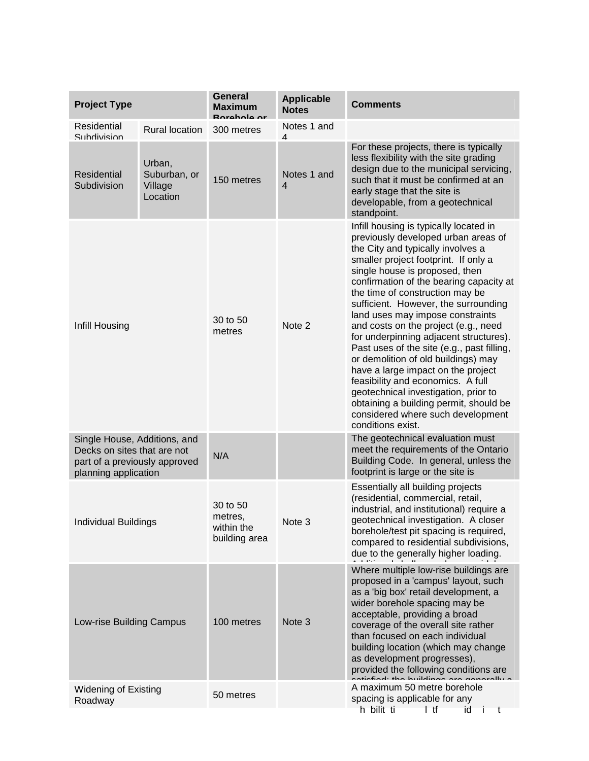| <b>Project Type</b>                                                                                                  |                                               | <b>General</b><br><b>Maximum</b>                   | <b>Applicable</b><br><b>Notes</b> | <b>Comments</b>                                                                                                                                                                                                                                                                                                                                                                                                                                                                                                                                                                                                                                                                                                                                      |
|----------------------------------------------------------------------------------------------------------------------|-----------------------------------------------|----------------------------------------------------|-----------------------------------|------------------------------------------------------------------------------------------------------------------------------------------------------------------------------------------------------------------------------------------------------------------------------------------------------------------------------------------------------------------------------------------------------------------------------------------------------------------------------------------------------------------------------------------------------------------------------------------------------------------------------------------------------------------------------------------------------------------------------------------------------|
| Residential<br>Subdivision                                                                                           | <b>Rural location</b>                         | 300 metres                                         | Notes 1 and<br>4                  |                                                                                                                                                                                                                                                                                                                                                                                                                                                                                                                                                                                                                                                                                                                                                      |
| <b>Residential</b><br>Subdivision                                                                                    | Urban,<br>Suburban, or<br>Village<br>Location | 150 metres                                         | Notes 1 and<br>4                  | For these projects, there is typically<br>less flexibility with the site grading<br>design due to the municipal servicing,<br>such that it must be confirmed at an<br>early stage that the site is<br>developable, from a geotechnical<br>standpoint.                                                                                                                                                                                                                                                                                                                                                                                                                                                                                                |
| Infill Housing                                                                                                       |                                               | 30 to 50<br>metres                                 | Note 2                            | Infill housing is typically located in<br>previously developed urban areas of<br>the City and typically involves a<br>smaller project footprint. If only a<br>single house is proposed, then<br>confirmation of the bearing capacity at<br>the time of construction may be<br>sufficient. However, the surrounding<br>land uses may impose constraints<br>and costs on the project (e.g., need<br>for underpinning adjacent structures).<br>Past uses of the site (e.g., past filling,<br>or demolition of old buildings) may<br>have a large impact on the project<br>feasibility and economics. A full<br>geotechnical investigation, prior to<br>obtaining a building permit, should be<br>considered where such development<br>conditions exist. |
| Single House, Additions, and<br>Decks on sites that are not<br>part of a previously approved<br>planning application |                                               | N/A                                                |                                   | The geotechnical evaluation must<br>meet the requirements of the Ontario<br>Building Code. In general, unless the<br>footprint is large or the site is                                                                                                                                                                                                                                                                                                                                                                                                                                                                                                                                                                                               |
| <b>Individual Buildings</b>                                                                                          |                                               | 30 to 50<br>metres,<br>within the<br>building area | Note 3                            | Essentially all building projects<br>(residential, commercial, retail,<br>industrial, and institutional) require a<br>geotechnical investigation. A closer<br>borehole/test pit spacing is required,<br>compared to residential subdivisions,<br>due to the generally higher loading.                                                                                                                                                                                                                                                                                                                                                                                                                                                                |
| Low-rise Building Campus                                                                                             |                                               | 100 metres                                         | Note 3                            | Where multiple low-rise buildings are<br>proposed in a 'campus' layout, such<br>as a 'big box' retail development, a<br>wider borehole spacing may be<br>acceptable, providing a broad<br>coverage of the overall site rather<br>than focused on each individual<br>building location (which may change<br>as development progresses),<br>provided the following conditions are                                                                                                                                                                                                                                                                                                                                                                      |
| <b>Widening of Existing</b><br>Roadway                                                                               |                                               | 50 metres                                          |                                   | A maximum 50 metre borehole<br>spacing is applicable for any<br>h bilit ti<br>l tf<br>-i<br>t<br>id                                                                                                                                                                                                                                                                                                                                                                                                                                                                                                                                                                                                                                                  |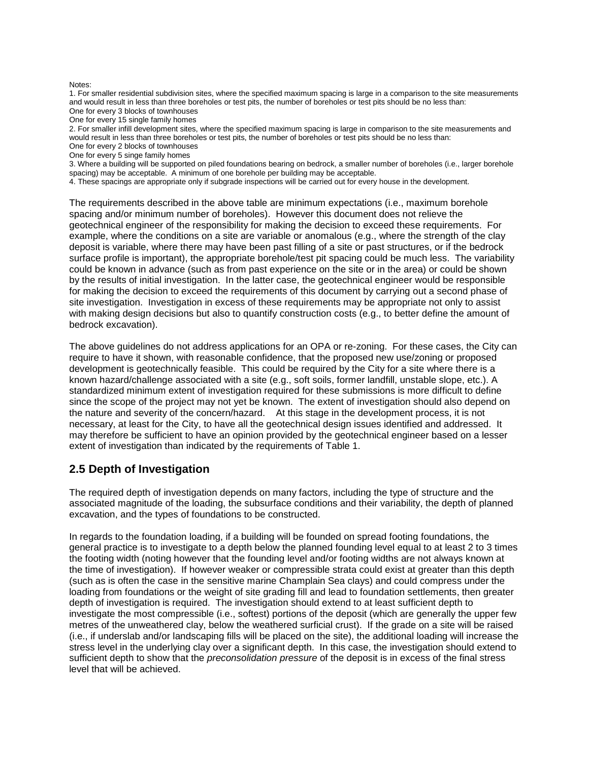#### Notes:

1. For smaller residential subdivision sites, where the specified maximum spacing is large in a comparison to the site measurements and would result in less than three boreholes or test pits, the number of boreholes or test pits should be no less than: One for every 3 blocks of townhouses

One for every 15 single family homes

2. For smaller infill development sites, where the specified maximum spacing is large in comparison to the site measurements and would result in less than three boreholes or test pits, the number of boreholes or test pits should be no less than:

One for every 2 blocks of townhouses

One for every 5 singe family homes

3. Where a building will be supported on piled foundations bearing on bedrock, a smaller number of boreholes (i.e., larger borehole spacing) may be acceptable. A minimum of one borehole per building may be acceptable.

4. These spacings are appropriate only if subgrade inspections will be carried out for every house in the development.

The requirements described in the above table are minimum expectations (i.e., maximum borehole spacing and/or minimum number of boreholes). However this document does not relieve the geotechnical engineer of the responsibility for making the decision to exceed these requirements. For example, where the conditions on a site are variable or anomalous (e.g., where the strength of the clay deposit is variable, where there may have been past filling of a site or past structures, or if the bedrock surface profile is important), the appropriate borehole/test pit spacing could be much less. The variability could be known in advance (such as from past experience on the site or in the area) or could be shown by the results of initial investigation. In the latter case, the geotechnical engineer would be responsible for making the decision to exceed the requirements of this document by carrying out a second phase of site investigation. Investigation in excess of these requirements may be appropriate not only to assist with making design decisions but also to quantify construction costs (e.g., to better define the amount of bedrock excavation).

The above guidelines do not address applications for an OPA or re-zoning. For these cases, the City can require to have it shown, with reasonable confidence, that the proposed new use/zoning or proposed development is geotechnically feasible. This could be required by the City for a site where there is a known hazard/challenge associated with a site (e.g., soft soils, former landfill, unstable slope, etc.). A standardized minimum extent of investigation required for these submissions is more difficult to define since the scope of the project may not yet be known. The extent of investigation should also depend on the nature and severity of the concern/hazard. At this stage in the development process, it is not necessary, at least for the City, to have all the geotechnical design issues identified and addressed. It may therefore be sufficient to have an opinion provided by the geotechnical engineer based on a lesser extent of investigation than indicated by the requirements of Table 1.

### **2.5 Depth of Investigation**

The required depth of investigation depends on many factors, including the type of structure and the associated magnitude of the loading, the subsurface conditions and their variability, the depth of planned excavation, and the types of foundations to be constructed.

In regards to the foundation loading, if a building will be founded on spread footing foundations, the general practice is to investigate to a depth below the planned founding level equal to at least 2 to 3 times the footing width (noting however that the founding level and/or footing widths are not always known at the time of investigation). If however weaker or compressible strata could exist at greater than this depth (such as is often the case in the sensitive marine Champlain Sea clays) and could compress under the loading from foundations or the weight of site grading fill and lead to foundation settlements, then greater depth of investigation is required. The investigation should extend to at least sufficient depth to investigate the most compressible (i.e., softest) portions of the deposit (which are generally the upper few metres of the unweathered clay, below the weathered surficial crust). If the grade on a site will be raised (i.e., if underslab and/or landscaping fills will be placed on the site), the additional loading will increase the stress level in the underlying clay over a significant depth. In this case, the investigation should extend to sufficient depth to show that the *preconsolidation pressure* of the deposit is in excess of the final stress level that will be achieved.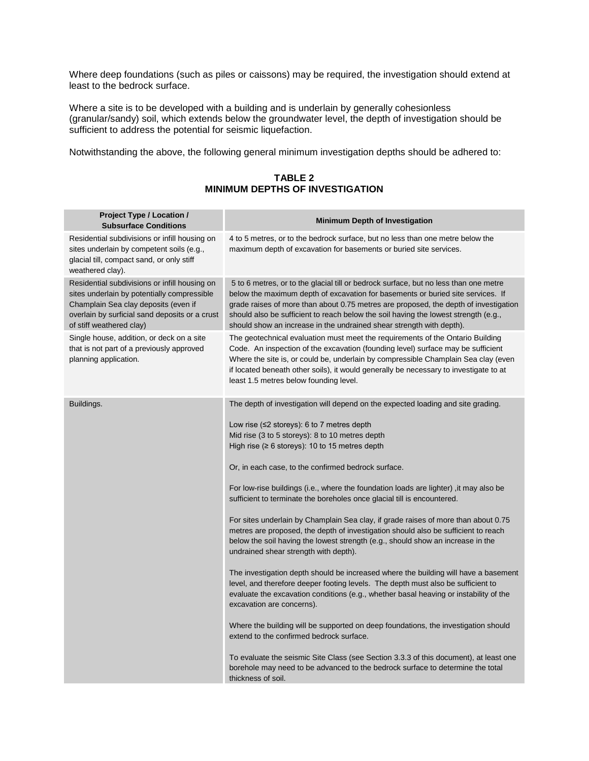Where deep foundations (such as piles or caissons) may be required, the investigation should extend at least to the bedrock surface.

Where a site is to be developed with a building and is underlain by generally cohesionless (granular/sandy) soil, which extends below the groundwater level, the depth of investigation should be sufficient to address the potential for seismic liquefaction.

Notwithstanding the above, the following general minimum investigation depths should be adhered to:

#### **TABLE 2 MINIMUM DEPTHS OF INVESTIGATION**

| Project Type / Location /<br><b>Subsurface Conditions</b>                                                                                                                                                          | <b>Minimum Depth of Investigation</b>                                                                                                                                                                                                                                                                                                                                                                                                                                                                                                                                                                                                                                                                                                                                                                                                                                                                                                                                                                                                                                                                                                                                                                                                                                                                                                                                                      |
|--------------------------------------------------------------------------------------------------------------------------------------------------------------------------------------------------------------------|--------------------------------------------------------------------------------------------------------------------------------------------------------------------------------------------------------------------------------------------------------------------------------------------------------------------------------------------------------------------------------------------------------------------------------------------------------------------------------------------------------------------------------------------------------------------------------------------------------------------------------------------------------------------------------------------------------------------------------------------------------------------------------------------------------------------------------------------------------------------------------------------------------------------------------------------------------------------------------------------------------------------------------------------------------------------------------------------------------------------------------------------------------------------------------------------------------------------------------------------------------------------------------------------------------------------------------------------------------------------------------------------|
| Residential subdivisions or infill housing on<br>sites underlain by competent soils (e.g.,<br>glacial till, compact sand, or only stiff<br>weathered clay).                                                        | 4 to 5 metres, or to the bedrock surface, but no less than one metre below the<br>maximum depth of excavation for basements or buried site services.                                                                                                                                                                                                                                                                                                                                                                                                                                                                                                                                                                                                                                                                                                                                                                                                                                                                                                                                                                                                                                                                                                                                                                                                                                       |
| Residential subdivisions or infill housing on<br>sites underlain by potentially compressible<br>Champlain Sea clay deposits (even if<br>overlain by surficial sand deposits or a crust<br>of stiff weathered clay) | 5 to 6 metres, or to the glacial till or bedrock surface, but no less than one metre<br>below the maximum depth of excavation for basements or buried site services. If<br>grade raises of more than about 0.75 metres are proposed, the depth of investigation<br>should also be sufficient to reach below the soil having the lowest strength (e.g.,<br>should show an increase in the undrained shear strength with depth).                                                                                                                                                                                                                                                                                                                                                                                                                                                                                                                                                                                                                                                                                                                                                                                                                                                                                                                                                             |
| Single house, addition, or deck on a site<br>that is not part of a previously approved<br>planning application.                                                                                                    | The geotechnical evaluation must meet the requirements of the Ontario Building<br>Code. An inspection of the excavation (founding level) surface may be sufficient<br>Where the site is, or could be, underlain by compressible Champlain Sea clay (even<br>if located beneath other soils), it would generally be necessary to investigate to at<br>least 1.5 metres below founding level.                                                                                                                                                                                                                                                                                                                                                                                                                                                                                                                                                                                                                                                                                                                                                                                                                                                                                                                                                                                                |
| Buildings.                                                                                                                                                                                                         | The depth of investigation will depend on the expected loading and site grading.<br>Low rise (≤2 storeys): 6 to 7 metres depth<br>Mid rise (3 to 5 storeys): 8 to 10 metres depth<br>High rise ( $\geq 6$ storeys): 10 to 15 metres depth<br>Or, in each case, to the confirmed bedrock surface.<br>For low-rise buildings (i.e., where the foundation loads are lighter) ,it may also be<br>sufficient to terminate the boreholes once glacial till is encountered.<br>For sites underlain by Champlain Sea clay, if grade raises of more than about 0.75<br>metres are proposed, the depth of investigation should also be sufficient to reach<br>below the soil having the lowest strength (e.g., should show an increase in the<br>undrained shear strength with depth).<br>The investigation depth should be increased where the building will have a basement<br>level, and therefore deeper footing levels. The depth must also be sufficient to<br>evaluate the excavation conditions (e.g., whether basal heaving or instability of the<br>excavation are concerns).<br>Where the building will be supported on deep foundations, the investigation should<br>extend to the confirmed bedrock surface.<br>To evaluate the seismic Site Class (see Section 3.3.3 of this document), at least one<br>borehole may need to be advanced to the bedrock surface to determine the total |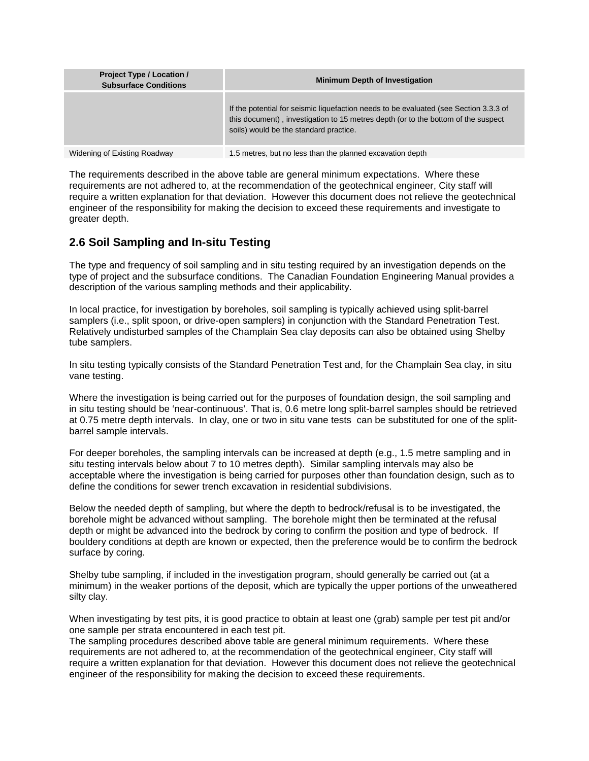| Project Type / Location /<br><b>Subsurface Conditions</b> | <b>Minimum Depth of Investigation</b>                                                                                                                                                                                |
|-----------------------------------------------------------|----------------------------------------------------------------------------------------------------------------------------------------------------------------------------------------------------------------------|
|                                                           | If the potential for seismic liquefaction needs to be evaluated (see Section 3.3.3 of<br>this document), investigation to 15 metres depth (or to the bottom of the suspect<br>soils) would be the standard practice. |
| Widening of Existing Roadway                              | 1.5 metres, but no less than the planned excavation depth                                                                                                                                                            |

The requirements described in the above table are general minimum expectations. Where these requirements are not adhered to, at the recommendation of the geotechnical engineer, City staff will require a written explanation for that deviation. However this document does not relieve the geotechnical engineer of the responsibility for making the decision to exceed these requirements and investigate to greater depth.

### **2.6 Soil Sampling and In-situ Testing**

The type and frequency of soil sampling and in situ testing required by an investigation depends on the type of project and the subsurface conditions. The Canadian Foundation Engineering Manual provides a description of the various sampling methods and their applicability.

In local practice, for investigation by boreholes, soil sampling is typically achieved using split-barrel samplers (i.e., split spoon, or drive-open samplers) in conjunction with the Standard Penetration Test. Relatively undisturbed samples of the Champlain Sea clay deposits can also be obtained using Shelby tube samplers.

In situ testing typically consists of the Standard Penetration Test and, for the Champlain Sea clay, in situ vane testing.

Where the investigation is being carried out for the purposes of foundation design, the soil sampling and in situ testing should be 'near-continuous'. That is, 0.6 metre long split-barrel samples should be retrieved at 0.75 metre depth intervals. In clay, one or two in situ vane tests can be substituted for one of the splitbarrel sample intervals.

For deeper boreholes, the sampling intervals can be increased at depth (e.g., 1.5 metre sampling and in situ testing intervals below about 7 to 10 metres depth). Similar sampling intervals may also be acceptable where the investigation is being carried for purposes other than foundation design, such as to define the conditions for sewer trench excavation in residential subdivisions.

Below the needed depth of sampling, but where the depth to bedrock/refusal is to be investigated, the borehole might be advanced without sampling. The borehole might then be terminated at the refusal depth or might be advanced into the bedrock by coring to confirm the position and type of bedrock. If bouldery conditions at depth are known or expected, then the preference would be to confirm the bedrock surface by coring.

Shelby tube sampling, if included in the investigation program, should generally be carried out (at a minimum) in the weaker portions of the deposit, which are typically the upper portions of the unweathered silty clay.

When investigating by test pits, it is good practice to obtain at least one (grab) sample per test pit and/or one sample per strata encountered in each test pit.

The sampling procedures described above table are general minimum requirements. Where these requirements are not adhered to, at the recommendation of the geotechnical engineer, City staff will require a written explanation for that deviation. However this document does not relieve the geotechnical engineer of the responsibility for making the decision to exceed these requirements.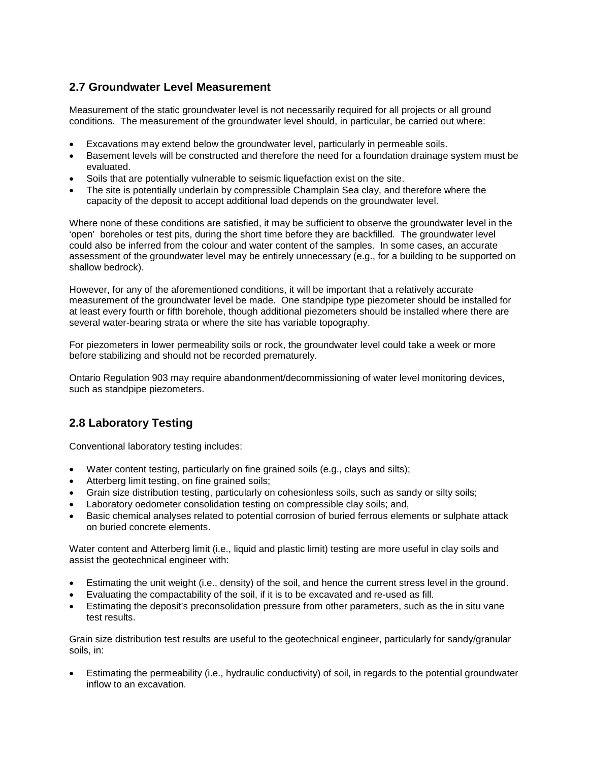### **2.7 Groundwater Level Measurement**

Measurement of the static groundwater level is not necessarily required for all projects or all ground conditions. The measurement of the groundwater level should, in particular, be carried out where:

- Excavations may extend below the groundwater level, particularly in permeable soils.
- Basement levels will be constructed and therefore the need for a foundation drainage system must be evaluated.
- Soils that are potentially vulnerable to seismic liquefaction exist on the site.
- The site is potentially underlain by compressible Champlain Sea clay, and therefore where the capacity of the deposit to accept additional load depends on the groundwater level.

Where none of these conditions are satisfied, it may be sufficient to observe the groundwater level in the 'open' boreholes or test pits, during the short time before they are backfilled. The groundwater level could also be inferred from the colour and water content of the samples. In some cases, an accurate assessment of the groundwater level may be entirely unnecessary (e.g., for a building to be supported on shallow bedrock).

However, for any of the aforementioned conditions, it will be important that a relatively accurate measurement of the groundwater level be made. One standpipe type piezometer should be installed for at least every fourth or fifth borehole, though additional piezometers should be installed where there are several water-bearing strata or where the site has variable topography.

For piezometers in lower permeability soils or rock, the groundwater level could take a week or more before stabilizing and should not be recorded prematurely.

Ontario Regulation 903 may require abandonment/decommissioning of water level monitoring devices, such as standpipe piezometers.

### **2.8 Laboratory Testing**

Conventional laboratory testing includes:

- Water content testing, particularly on fine grained soils (e.g., clays and silts);
- Atterberg limit testing, on fine grained soils;
- Grain size distribution testing, particularly on cohesionless soils, such as sandy or silty soils;
- Laboratory oedometer consolidation testing on compressible clay soils; and,
- Basic chemical analyses related to potential corrosion of buried ferrous elements or sulphate attack on buried concrete elements.

Water content and Atterberg limit (i.e., liquid and plastic limit) testing are more useful in clay soils and assist the geotechnical engineer with:

- Estimating the unit weight (i.e., density) of the soil, and hence the current stress level in the ground.
- Evaluating the compactability of the soil, if it is to be excavated and re-used as fill.
- Estimating the deposit's preconsolidation pressure from other parameters, such as the in situ vane test results.

Grain size distribution test results are useful to the geotechnical engineer, particularly for sandy/granular soils, in:

• Estimating the permeability (i.e., hydraulic conductivity) of soil, in regards to the potential groundwater inflow to an excavation.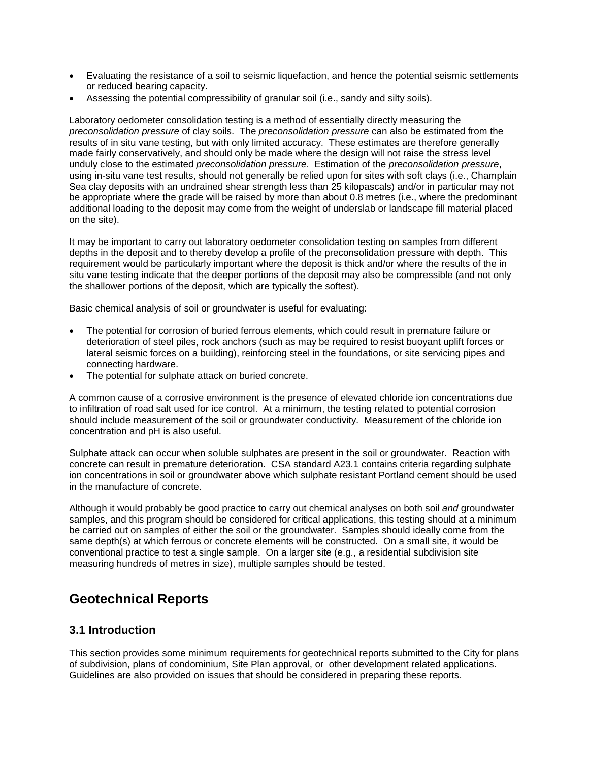- Evaluating the resistance of a soil to seismic liquefaction, and hence the potential seismic settlements or reduced bearing capacity.
- Assessing the potential compressibility of granular soil (i.e., sandy and silty soils).

Laboratory oedometer consolidation testing is a method of essentially directly measuring the *preconsolidation pressure* of clay soils. The *preconsolidation pressure* can also be estimated from the results of in situ vane testing, but with only limited accuracy. These estimates are therefore generally made fairly conservatively, and should only be made where the design will not raise the stress level unduly close to the estimated *preconsolidation pressure*. Estimation of the *preconsolidation pressure*, using in-situ vane test results, should not generally be relied upon for sites with soft clays (i.e., Champlain Sea clay deposits with an undrained shear strength less than 25 kilopascals) and/or in particular may not be appropriate where the grade will be raised by more than about 0.8 metres (i.e., where the predominant additional loading to the deposit may come from the weight of underslab or landscape fill material placed on the site).

It may be important to carry out laboratory oedometer consolidation testing on samples from different depths in the deposit and to thereby develop a profile of the preconsolidation pressure with depth. This requirement would be particularly important where the deposit is thick and/or where the results of the in situ vane testing indicate that the deeper portions of the deposit may also be compressible (and not only the shallower portions of the deposit, which are typically the softest).

Basic chemical analysis of soil or groundwater is useful for evaluating:

- The potential for corrosion of buried ferrous elements, which could result in premature failure or deterioration of steel piles, rock anchors (such as may be required to resist buoyant uplift forces or lateral seismic forces on a building), reinforcing steel in the foundations, or site servicing pipes and connecting hardware.
- The potential for sulphate attack on buried concrete.

A common cause of a corrosive environment is the presence of elevated chloride ion concentrations due to infiltration of road salt used for ice control. At a minimum, the testing related to potential corrosion should include measurement of the soil or groundwater conductivity. Measurement of the chloride ion concentration and pH is also useful.

Sulphate attack can occur when soluble sulphates are present in the soil or groundwater. Reaction with concrete can result in premature deterioration. CSA standard A23.1 contains criteria regarding sulphate ion concentrations in soil or groundwater above which sulphate resistant Portland cement should be used in the manufacture of concrete.

Although it would probably be good practice to carry out chemical analyses on both soil *and* groundwater samples, and this program should be considered for critical applications, this testing should at a minimum be carried out on samples of either the soil or the groundwater. Samples should ideally come from the same depth(s) at which ferrous or concrete elements will be constructed. On a small site, it would be conventional practice to test a single sample. On a larger site (e.g., a residential subdivision site measuring hundreds of metres in size), multiple samples should be tested.

# **Geotechnical Reports**

### **3.1 Introduction**

This section provides some minimum requirements for geotechnical reports submitted to the City for plans of subdivision, plans of condominium, Site Plan approval, or other development related applications. Guidelines are also provided on issues that should be considered in preparing these reports.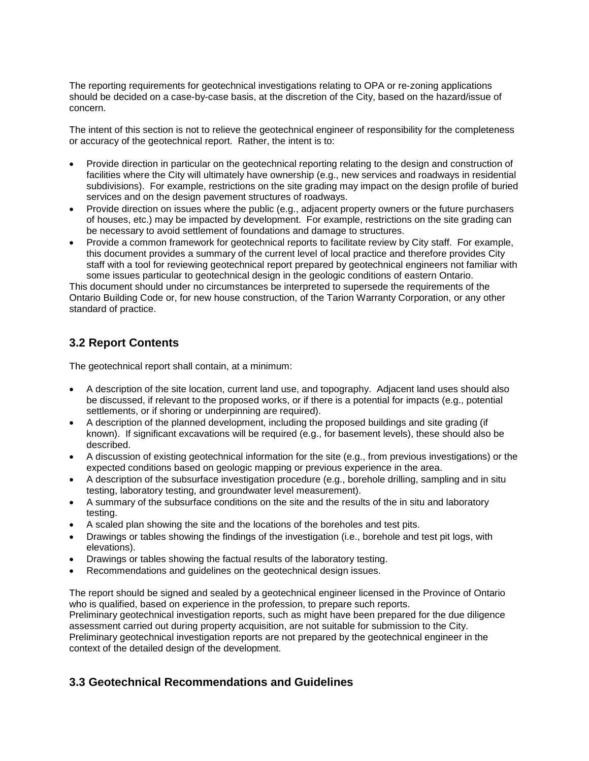The reporting requirements for geotechnical investigations relating to OPA or re-zoning applications should be decided on a case-by-case basis, at the discretion of the City, based on the hazard/issue of concern.

The intent of this section is not to relieve the geotechnical engineer of responsibility for the completeness or accuracy of the geotechnical report. Rather, the intent is to:

- Provide direction in particular on the geotechnical reporting relating to the design and construction of facilities where the City will ultimately have ownership (e.g., new services and roadways in residential subdivisions). For example, restrictions on the site grading may impact on the design profile of buried services and on the design pavement structures of roadways.
- Provide direction on issues where the public (e.g., adjacent property owners or the future purchasers of houses, etc.) may be impacted by development. For example, restrictions on the site grading can be necessary to avoid settlement of foundations and damage to structures.
- Provide a common framework for geotechnical reports to facilitate review by City staff. For example, this document provides a summary of the current level of local practice and therefore provides City staff with a tool for reviewing geotechnical report prepared by geotechnical engineers not familiar with some issues particular to geotechnical design in the geologic conditions of eastern Ontario.

This document should under no circumstances be interpreted to supersede the requirements of the Ontario Building Code or, for new house construction, of the Tarion Warranty Corporation, or any other standard of practice.

### **3.2 Report Contents**

The geotechnical report shall contain, at a minimum:

- A description of the site location, current land use, and topography. Adjacent land uses should also be discussed, if relevant to the proposed works, or if there is a potential for impacts (e.g., potential settlements, or if shoring or underpinning are required).
- A description of the planned development, including the proposed buildings and site grading (if known). If significant excavations will be required (e.g., for basement levels), these should also be described.
- A discussion of existing geotechnical information for the site (e.g., from previous investigations) or the expected conditions based on geologic mapping or previous experience in the area.
- A description of the subsurface investigation procedure (e.g., borehole drilling, sampling and in situ testing, laboratory testing, and groundwater level measurement).
- A summary of the subsurface conditions on the site and the results of the in situ and laboratory testing.
- A scaled plan showing the site and the locations of the boreholes and test pits.
- Drawings or tables showing the findings of the investigation (i.e., borehole and test pit logs, with elevations).
- Drawings or tables showing the factual results of the laboratory testing.
- Recommendations and guidelines on the geotechnical design issues.

The report should be signed and sealed by a geotechnical engineer licensed in the Province of Ontario who is qualified, based on experience in the profession, to prepare such reports. Preliminary geotechnical investigation reports, such as might have been prepared for the due diligence assessment carried out during property acquisition, are not suitable for submission to the City. Preliminary geotechnical investigation reports are not prepared by the geotechnical engineer in the context of the detailed design of the development.

### **3.3 Geotechnical Recommendations and Guidelines**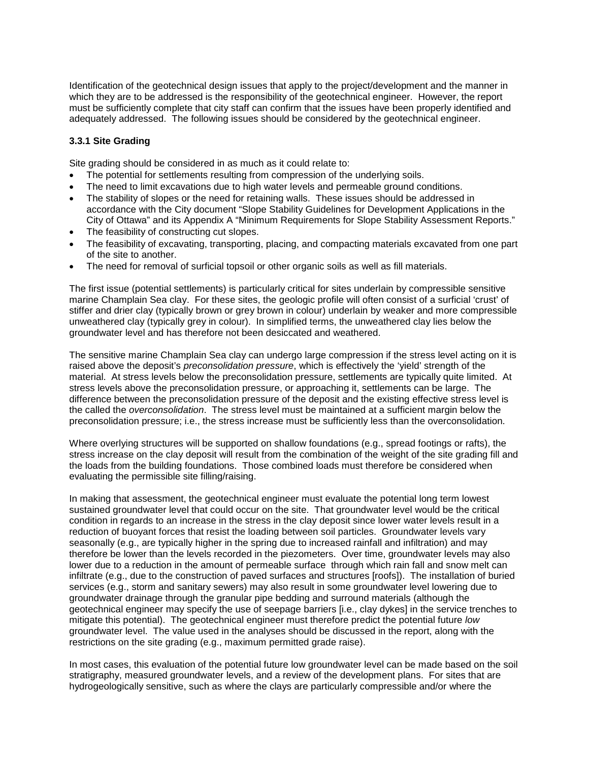Identification of the geotechnical design issues that apply to the project/development and the manner in which they are to be addressed is the responsibility of the geotechnical engineer. However, the report must be sufficiently complete that city staff can confirm that the issues have been properly identified and adequately addressed. The following issues should be considered by the geotechnical engineer.

### **3.3.1 Site Grading**

Site grading should be considered in as much as it could relate to:

- The potential for settlements resulting from compression of the underlying soils.
- The need to limit excavations due to high water levels and permeable ground conditions.
- The stability of slopes or the need for retaining walls. These issues should be addressed in accordance with the City document "Slope Stability Guidelines for Development Applications in the City of Ottawa" and its Appendix A "Minimum Requirements for Slope Stability Assessment Reports."
- The feasibility of constructing cut slopes.
- The feasibility of excavating, transporting, placing, and compacting materials excavated from one part of the site to another.
- The need for removal of surficial topsoil or other organic soils as well as fill materials.

The first issue (potential settlements) is particularly critical for sites underlain by compressible sensitive marine Champlain Sea clay. For these sites, the geologic profile will often consist of a surficial 'crust' of stiffer and drier clay (typically brown or grey brown in colour) underlain by weaker and more compressible unweathered clay (typically grey in colour). In simplified terms, the unweathered clay lies below the groundwater level and has therefore not been desiccated and weathered.

The sensitive marine Champlain Sea clay can undergo large compression if the stress level acting on it is raised above the deposit's *preconsolidation pressure*, which is effectively the 'yield' strength of the material. At stress levels below the preconsolidation pressure, settlements are typically quite limited. At stress levels above the preconsolidation pressure, or approaching it, settlements can be large. The difference between the preconsolidation pressure of the deposit and the existing effective stress level is the called the *overconsolidation*. The stress level must be maintained at a sufficient margin below the preconsolidation pressure; i.e., the stress increase must be sufficiently less than the overconsolidation.

Where overlying structures will be supported on shallow foundations (e.g., spread footings or rafts), the stress increase on the clay deposit will result from the combination of the weight of the site grading fill and the loads from the building foundations. Those combined loads must therefore be considered when evaluating the permissible site filling/raising.

In making that assessment, the geotechnical engineer must evaluate the potential long term lowest sustained groundwater level that could occur on the site. That groundwater level would be the critical condition in regards to an increase in the stress in the clay deposit since lower water levels result in a reduction of buoyant forces that resist the loading between soil particles. Groundwater levels vary seasonally (e.g., are typically higher in the spring due to increased rainfall and infiltration) and may therefore be lower than the levels recorded in the piezometers. Over time, groundwater levels may also lower due to a reduction in the amount of permeable surface through which rain fall and snow melt can infiltrate (e.g., due to the construction of paved surfaces and structures [roofs]). The installation of buried services (e.g., storm and sanitary sewers) may also result in some groundwater level lowering due to groundwater drainage through the granular pipe bedding and surround materials (although the geotechnical engineer may specify the use of seepage barriers [i.e., clay dykes] in the service trenches to mitigate this potential). The geotechnical engineer must therefore predict the potential future *low* groundwater level. The value used in the analyses should be discussed in the report, along with the restrictions on the site grading (e.g., maximum permitted grade raise).

In most cases, this evaluation of the potential future low groundwater level can be made based on the soil stratigraphy, measured groundwater levels, and a review of the development plans. For sites that are hydrogeologically sensitive, such as where the clays are particularly compressible and/or where the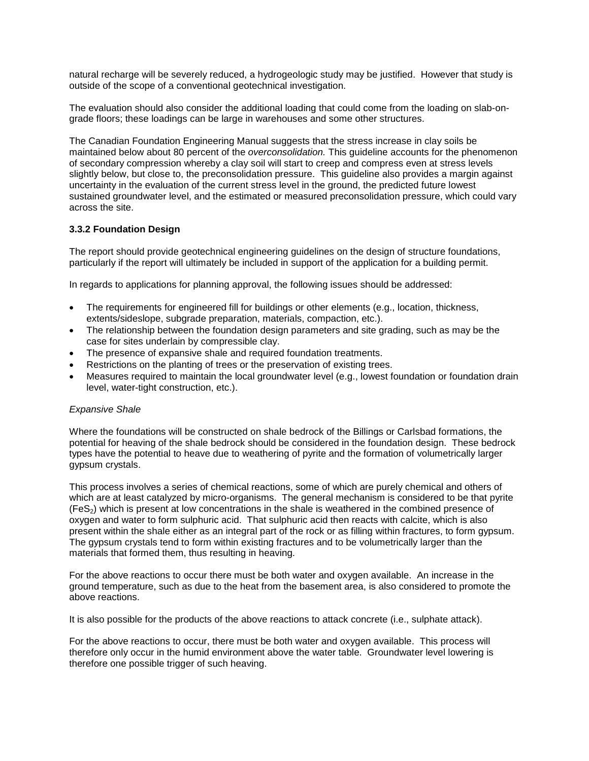natural recharge will be severely reduced, a hydrogeologic study may be justified. However that study is outside of the scope of a conventional geotechnical investigation.

The evaluation should also consider the additional loading that could come from the loading on slab-ongrade floors; these loadings can be large in warehouses and some other structures.

The Canadian Foundation Engineering Manual suggests that the stress increase in clay soils be maintained below about 80 percent of the *overconsolidation.* This guideline accounts for the phenomenon of secondary compression whereby a clay soil will start to creep and compress even at stress levels slightly below, but close to, the preconsolidation pressure. This guideline also provides a margin against uncertainty in the evaluation of the current stress level in the ground, the predicted future lowest sustained groundwater level, and the estimated or measured preconsolidation pressure, which could vary across the site.

### **3.3.2 Foundation Design**

The report should provide geotechnical engineering guidelines on the design of structure foundations, particularly if the report will ultimately be included in support of the application for a building permit.

In regards to applications for planning approval, the following issues should be addressed:

- The requirements for engineered fill for buildings or other elements (e.g., location, thickness, extents/sideslope, subgrade preparation, materials, compaction, etc.).
- The relationship between the foundation design parameters and site grading, such as may be the case for sites underlain by compressible clay.
- The presence of expansive shale and required foundation treatments.
- Restrictions on the planting of trees or the preservation of existing trees.
- Measures required to maintain the local groundwater level (e.g., lowest foundation or foundation drain level, water-tight construction, etc.).

#### *Expansive Shale*

Where the foundations will be constructed on shale bedrock of the Billings or Carlsbad formations, the potential for heaving of the shale bedrock should be considered in the foundation design. These bedrock types have the potential to heave due to weathering of pyrite and the formation of volumetrically larger gypsum crystals.

This process involves a series of chemical reactions, some of which are purely chemical and others of which are at least catalyzed by micro-organisms. The general mechanism is considered to be that pyrite  $(Fes<sub>2</sub>)$  which is present at low concentrations in the shale is weathered in the combined presence of oxygen and water to form sulphuric acid. That sulphuric acid then reacts with calcite, which is also present within the shale either as an integral part of the rock or as filling within fractures, to form gypsum. The gypsum crystals tend to form within existing fractures and to be volumetrically larger than the materials that formed them, thus resulting in heaving.

For the above reactions to occur there must be both water and oxygen available. An increase in the ground temperature, such as due to the heat from the basement area, is also considered to promote the above reactions.

It is also possible for the products of the above reactions to attack concrete (i.e., sulphate attack).

For the above reactions to occur, there must be both water and oxygen available. This process will therefore only occur in the humid environment above the water table. Groundwater level lowering is therefore one possible trigger of such heaving.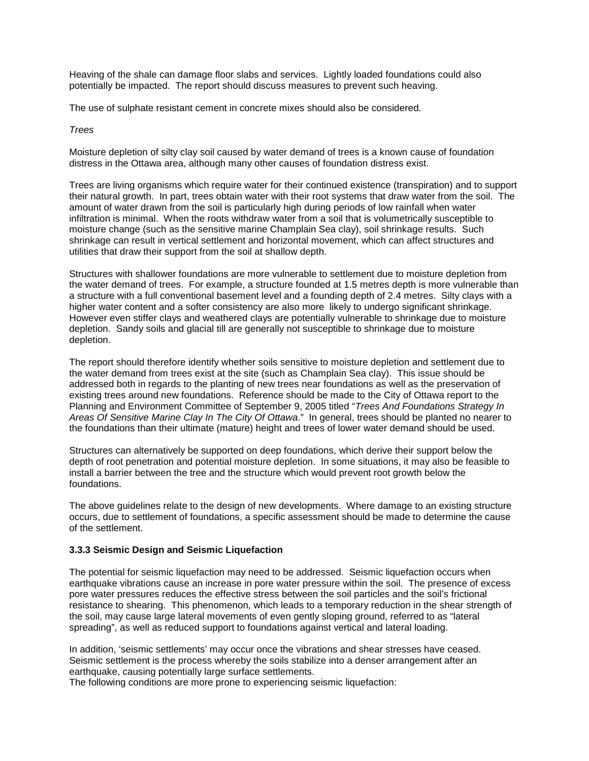Heaving of the shale can damage floor slabs and services. Lightly loaded foundations could also potentially be impacted. The report should discuss measures to prevent such heaving.

The use of sulphate resistant cement in concrete mixes should also be considered.

#### *Trees*

Moisture depletion of silty clay soil caused by water demand of trees is a known cause of foundation distress in the Ottawa area, although many other causes of foundation distress exist.

Trees are living organisms which require water for their continued existence (transpiration) and to support their natural growth. In part, trees obtain water with their root systems that draw water from the soil. The amount of water drawn from the soil is particularly high during periods of low rainfall when water infiltration is minimal. When the roots withdraw water from a soil that is volumetrically susceptible to moisture change (such as the sensitive marine Champlain Sea clay), soil shrinkage results. Such shrinkage can result in vertical settlement and horizontal movement, which can affect structures and utilities that draw their support from the soil at shallow depth.

Structures with shallower foundations are more vulnerable to settlement due to moisture depletion from the water demand of trees. For example, a structure founded at 1.5 metres depth is more vulnerable than a structure with a full conventional basement level and a founding depth of 2.4 metres. Silty clays with a higher water content and a softer consistency are also more likely to undergo significant shrinkage. However even stiffer clays and weathered clays are potentially vulnerable to shrinkage due to moisture depletion. Sandy soils and glacial till are generally not susceptible to shrinkage due to moisture depletion.

The report should therefore identify whether soils sensitive to moisture depletion and settlement due to the water demand from trees exist at the site (such as Champlain Sea clay). This issue should be addressed both in regards to the planting of new trees near foundations as well as the preservation of existing trees around new foundations. Reference should be made to the City of Ottawa report to the Planning and Environment Committee of September 9, 2005 titled "*Trees And Foundations Strategy In Areas Of Sensitive Marine Clay In The City Of Ottawa*." In general, trees should be planted no nearer to the foundations than their ultimate (mature) height and trees of lower water demand should be used.

Structures can alternatively be supported on deep foundations, which derive their support below the depth of root penetration and potential moisture depletion. In some situations, it may also be feasible to install a barrier between the tree and the structure which would prevent root growth below the foundations.

The above guidelines relate to the design of new developments. Where damage to an existing structure occurs, due to settlement of foundations, a specific assessment should be made to determine the cause of the settlement.

#### **3.3.3 Seismic Design and Seismic Liquefaction**

The potential for seismic liquefaction may need to be addressed. Seismic liquefaction occurs when earthquake vibrations cause an increase in pore water pressure within the soil. The presence of excess pore water pressures reduces the effective stress between the soil particles and the soil's frictional resistance to shearing. This phenomenon, which leads to a temporary reduction in the shear strength of the soil, may cause large lateral movements of even gently sloping ground, referred to as "lateral spreading", as well as reduced support to foundations against vertical and lateral loading.

In addition, 'seismic settlements' may occur once the vibrations and shear stresses have ceased. Seismic settlement is the process whereby the soils stabilize into a denser arrangement after an earthquake, causing potentially large surface settlements.

The following conditions are more prone to experiencing seismic liquefaction: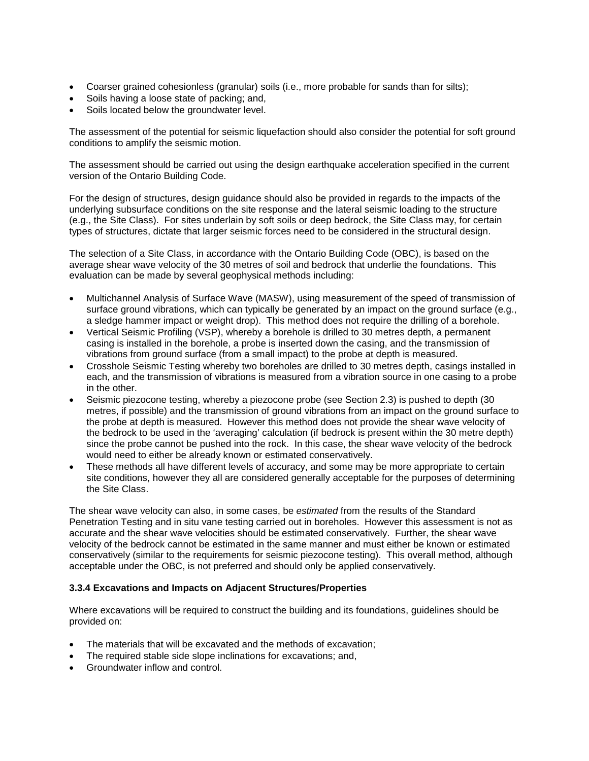- Coarser grained cohesionless (granular) soils (i.e., more probable for sands than for silts);
- Soils having a loose state of packing; and,
- Soils located below the groundwater level.

The assessment of the potential for seismic liquefaction should also consider the potential for soft ground conditions to amplify the seismic motion.

The assessment should be carried out using the design earthquake acceleration specified in the current version of the Ontario Building Code.

For the design of structures, design guidance should also be provided in regards to the impacts of the underlying subsurface conditions on the site response and the lateral seismic loading to the structure (e.g., the Site Class). For sites underlain by soft soils or deep bedrock, the Site Class may, for certain types of structures, dictate that larger seismic forces need to be considered in the structural design.

The selection of a Site Class, in accordance with the Ontario Building Code (OBC), is based on the average shear wave velocity of the 30 metres of soil and bedrock that underlie the foundations. This evaluation can be made by several geophysical methods including:

- Multichannel Analysis of Surface Wave (MASW), using measurement of the speed of transmission of surface ground vibrations, which can typically be generated by an impact on the ground surface (e.g., a sledge hammer impact or weight drop). This method does not require the drilling of a borehole.
- Vertical Seismic Profiling (VSP), whereby a borehole is drilled to 30 metres depth, a permanent casing is installed in the borehole, a probe is inserted down the casing, and the transmission of vibrations from ground surface (from a small impact) to the probe at depth is measured.
- Crosshole Seismic Testing whereby two boreholes are drilled to 30 metres depth, casings installed in each, and the transmission of vibrations is measured from a vibration source in one casing to a probe in the other.
- Seismic piezocone testing, whereby a piezocone probe (see Section 2.3) is pushed to depth (30 metres, if possible) and the transmission of ground vibrations from an impact on the ground surface to the probe at depth is measured. However this method does not provide the shear wave velocity of the bedrock to be used in the 'averaging' calculation (if bedrock is present within the 30 metre depth) since the probe cannot be pushed into the rock. In this case, the shear wave velocity of the bedrock would need to either be already known or estimated conservatively.
- These methods all have different levels of accuracy, and some may be more appropriate to certain site conditions, however they all are considered generally acceptable for the purposes of determining the Site Class.

The shear wave velocity can also, in some cases, be *estimated* from the results of the Standard Penetration Testing and in situ vane testing carried out in boreholes. However this assessment is not as accurate and the shear wave velocities should be estimated conservatively. Further, the shear wave velocity of the bedrock cannot be estimated in the same manner and must either be known or estimated conservatively (similar to the requirements for seismic piezocone testing). This overall method, although acceptable under the OBC, is not preferred and should only be applied conservatively.

#### **3.3.4 Excavations and Impacts on Adjacent Structures/Properties**

Where excavations will be required to construct the building and its foundations, guidelines should be provided on:

- The materials that will be excavated and the methods of excavation;
- The required stable side slope inclinations for excavations; and,
- Groundwater inflow and control.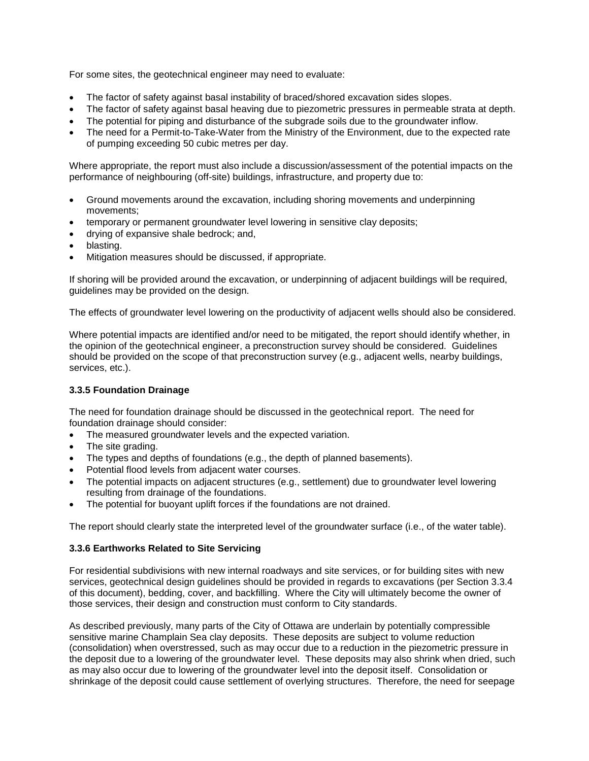For some sites, the geotechnical engineer may need to evaluate:

- The factor of safety against basal instability of braced/shored excavation sides slopes.
- The factor of safety against basal heaving due to piezometric pressures in permeable strata at depth.
- The potential for piping and disturbance of the subgrade soils due to the groundwater inflow.
- The need for a Permit-to-Take-Water from the Ministry of the Environment, due to the expected rate of pumping exceeding 50 cubic metres per day.

Where appropriate, the report must also include a discussion/assessment of the potential impacts on the performance of neighbouring (off-site) buildings, infrastructure, and property due to:

- Ground movements around the excavation, including shoring movements and underpinning movements;
- temporary or permanent groundwater level lowering in sensitive clay deposits;
- drying of expansive shale bedrock; and,
- blasting.
- Mitigation measures should be discussed, if appropriate.

If shoring will be provided around the excavation, or underpinning of adjacent buildings will be required, guidelines may be provided on the design.

The effects of groundwater level lowering on the productivity of adjacent wells should also be considered.

Where potential impacts are identified and/or need to be mitigated, the report should identify whether, in the opinion of the geotechnical engineer, a preconstruction survey should be considered. Guidelines should be provided on the scope of that preconstruction survey (e.g., adjacent wells, nearby buildings, services, etc.).

### **3.3.5 Foundation Drainage**

The need for foundation drainage should be discussed in the geotechnical report. The need for foundation drainage should consider:

- The measured groundwater levels and the expected variation.
- The site grading.
- The types and depths of foundations (e.g., the depth of planned basements).
- Potential flood levels from adjacent water courses.
- The potential impacts on adjacent structures (e.g., settlement) due to groundwater level lowering resulting from drainage of the foundations.
- The potential for buoyant uplift forces if the foundations are not drained.

The report should clearly state the interpreted level of the groundwater surface (i.e., of the water table).

#### **3.3.6 Earthworks Related to Site Servicing**

For residential subdivisions with new internal roadways and site services, or for building sites with new services, geotechnical design guidelines should be provided in regards to excavations (per Section 3.3.4 of this document), bedding, cover, and backfilling. Where the City will ultimately become the owner of those services, their design and construction must conform to City standards.

As described previously, many parts of the City of Ottawa are underlain by potentially compressible sensitive marine Champlain Sea clay deposits. These deposits are subject to volume reduction (consolidation) when overstressed, such as may occur due to a reduction in the piezometric pressure in the deposit due to a lowering of the groundwater level. These deposits may also shrink when dried, such as may also occur due to lowering of the groundwater level into the deposit itself. Consolidation or shrinkage of the deposit could cause settlement of overlying structures. Therefore, the need for seepage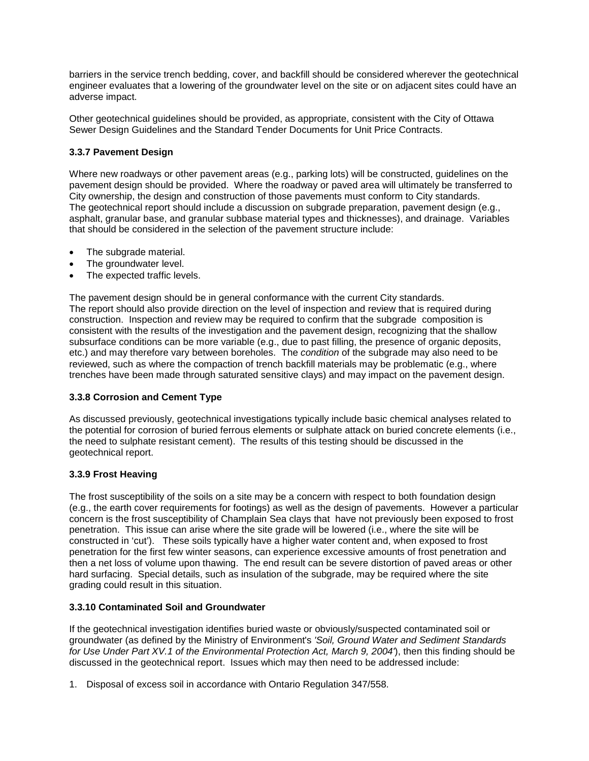barriers in the service trench bedding, cover, and backfill should be considered wherever the geotechnical engineer evaluates that a lowering of the groundwater level on the site or on adjacent sites could have an adverse impact.

Other geotechnical guidelines should be provided, as appropriate, consistent with the City of Ottawa Sewer Design Guidelines and the Standard Tender Documents for Unit Price Contracts.

### **3.3.7 Pavement Design**

Where new roadways or other pavement areas (e.g., parking lots) will be constructed, guidelines on the pavement design should be provided. Where the roadway or paved area will ultimately be transferred to City ownership, the design and construction of those pavements must conform to City standards. The geotechnical report should include a discussion on subgrade preparation, pavement design (e.g., asphalt, granular base, and granular subbase material types and thicknesses), and drainage. Variables that should be considered in the selection of the pavement structure include:

- The subgrade material.
- The groundwater level.
- The expected traffic levels.

The pavement design should be in general conformance with the current City standards. The report should also provide direction on the level of inspection and review that is required during construction. Inspection and review may be required to confirm that the subgrade composition is consistent with the results of the investigation and the pavement design, recognizing that the shallow subsurface conditions can be more variable (e.g., due to past filling, the presence of organic deposits, etc.) and may therefore vary between boreholes. The *condition* of the subgrade may also need to be reviewed, such as where the compaction of trench backfill materials may be problematic (e.g., where trenches have been made through saturated sensitive clays) and may impact on the pavement design.

### **3.3.8 Corrosion and Cement Type**

As discussed previously, geotechnical investigations typically include basic chemical analyses related to the potential for corrosion of buried ferrous elements or sulphate attack on buried concrete elements (i.e., the need to sulphate resistant cement). The results of this testing should be discussed in the geotechnical report.

### **3.3.9 Frost Heaving**

The frost susceptibility of the soils on a site may be a concern with respect to both foundation design (e.g., the earth cover requirements for footings) as well as the design of pavements. However a particular concern is the frost susceptibility of Champlain Sea clays that have not previously been exposed to frost penetration. This issue can arise where the site grade will be lowered (i.e., where the site will be constructed in 'cut'). These soils typically have a higher water content and, when exposed to frost penetration for the first few winter seasons, can experience excessive amounts of frost penetration and then a net loss of volume upon thawing. The end result can be severe distortion of paved areas or other hard surfacing. Special details, such as insulation of the subgrade, may be required where the site grading could result in this situation.

### **3.3.10 Contaminated Soil and Groundwater**

If the geotechnical investigation identifies buried waste or obviously/suspected contaminated soil or groundwater (as defined by the Ministry of Environment's *'Soil, Ground Water and Sediment Standards for Use Under Part XV.1 of the Environmental Protection Act, March 9, 2004'*), then this finding should be discussed in the geotechnical report. Issues which may then need to be addressed include:

1. Disposal of excess soil in accordance with Ontario Regulation 347/558.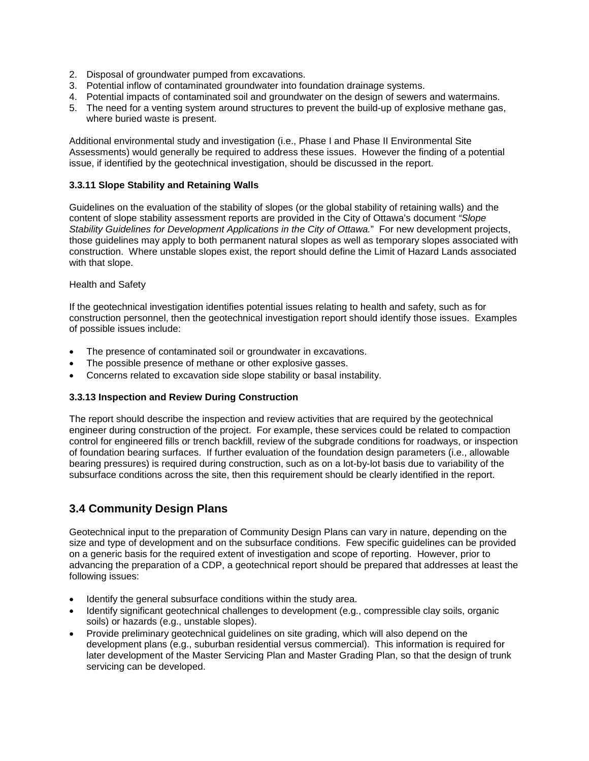- 2. Disposal of groundwater pumped from excavations.
- 3. Potential inflow of contaminated groundwater into foundation drainage systems.
- 4. Potential impacts of contaminated soil and groundwater on the design of sewers and watermains.
- 5. The need for a venting system around structures to prevent the build-up of explosive methane gas, where buried waste is present.

Additional environmental study and investigation (i.e., Phase I and Phase II Environmental Site Assessments) would generally be required to address these issues. However the finding of a potential issue, if identified by the geotechnical investigation, should be discussed in the report.

### **3.3.11 Slope Stability and Retaining Walls**

Guidelines on the evaluation of the stability of slopes (or the global stability of retaining walls) and the content of slope stability assessment reports are provided in the City of Ottawa's document *"Slope Stability Guidelines for Development Applications in the City of Ottawa.*" For new development projects, those guidelines may apply to both permanent natural slopes as well as temporary slopes associated with construction. Where unstable slopes exist, the report should define the Limit of Hazard Lands associated with that slope.

### Health and Safety

If the geotechnical investigation identifies potential issues relating to health and safety, such as for construction personnel, then the geotechnical investigation report should identify those issues. Examples of possible issues include:

- The presence of contaminated soil or groundwater in excavations.
- The possible presence of methane or other explosive gasses.
- Concerns related to excavation side slope stability or basal instability.

### **3.3.13 Inspection and Review During Construction**

The report should describe the inspection and review activities that are required by the geotechnical engineer during construction of the project. For example, these services could be related to compaction control for engineered fills or trench backfill, review of the subgrade conditions for roadways, or inspection of foundation bearing surfaces. If further evaluation of the foundation design parameters (i.e., allowable bearing pressures) is required during construction, such as on a lot-by-lot basis due to variability of the subsurface conditions across the site, then this requirement should be clearly identified in the report.

### **3.4 Community Design Plans**

Geotechnical input to the preparation of Community Design Plans can vary in nature, depending on the size and type of development and on the subsurface conditions. Few specific guidelines can be provided on a generic basis for the required extent of investigation and scope of reporting. However, prior to advancing the preparation of a CDP, a geotechnical report should be prepared that addresses at least the following issues:

- Identify the general subsurface conditions within the study area.
- Identify significant geotechnical challenges to development (e.g., compressible clay soils, organic soils) or hazards (e.g., unstable slopes).
- Provide preliminary geotechnical guidelines on site grading, which will also depend on the development plans (e.g., suburban residential versus commercial). This information is required for later development of the Master Servicing Plan and Master Grading Plan, so that the design of trunk servicing can be developed.